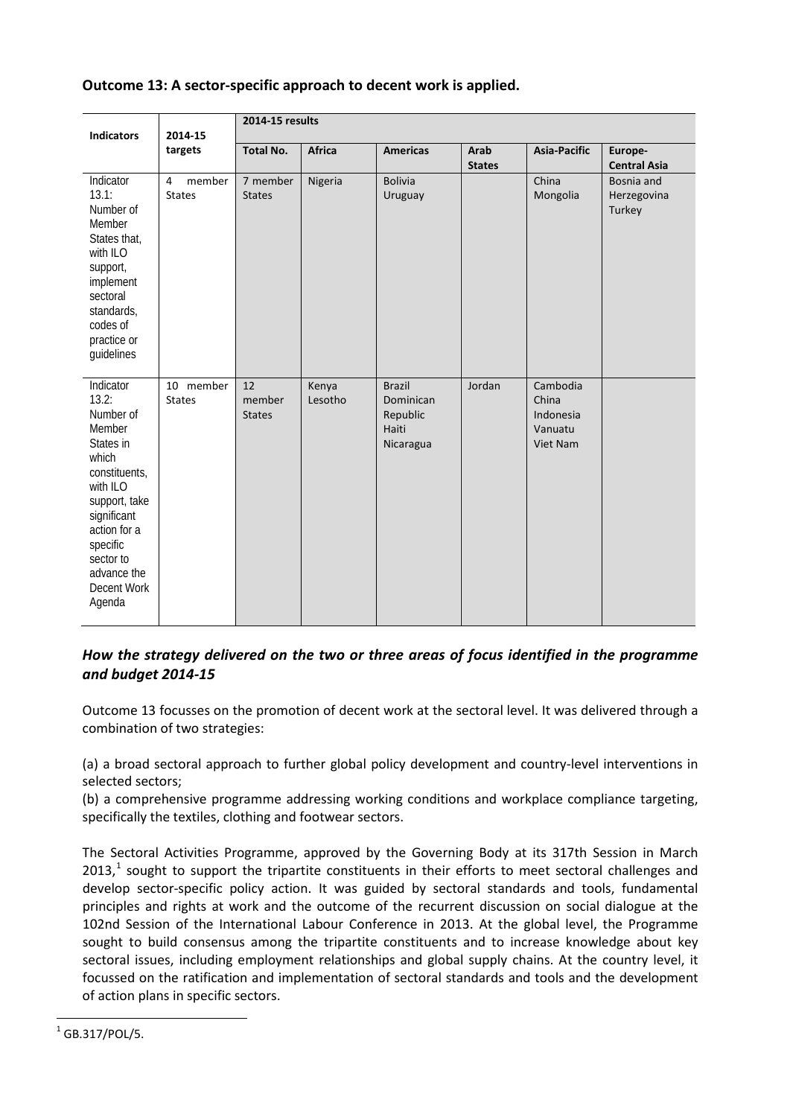# **Outcome 13: A sector-specific approach to decent work is applied.**

| <b>Indicators</b>                                                                                                                                                                                             | 2014-15<br>targets                        | 2014-15 results               |                  |                                                              |                       |                                                       |                                     |  |
|---------------------------------------------------------------------------------------------------------------------------------------------------------------------------------------------------------------|-------------------------------------------|-------------------------------|------------------|--------------------------------------------------------------|-----------------------|-------------------------------------------------------|-------------------------------------|--|
|                                                                                                                                                                                                               |                                           | <b>Total No.</b>              | Africa           | <b>Americas</b>                                              | Arab<br><b>States</b> | <b>Asia-Pacific</b>                                   | Europe-<br><b>Central Asia</b>      |  |
| Indicator<br>13.1:<br>Number of<br>Member<br>States that,<br>with ILO<br>support,<br>implement<br>sectoral<br>standards,<br>codes of<br>practice or<br>guidelines                                             | member<br>$\overline{4}$<br><b>States</b> | 7 member<br><b>States</b>     | Nigeria          | <b>Bolivia</b><br>Uruguay                                    |                       | China<br>Mongolia                                     | Bosnia and<br>Herzegovina<br>Turkey |  |
| Indicator<br>13.2:<br>Number of<br>Member<br>States in<br>which<br>constituents,<br>with ILO<br>support, take<br>significant<br>action for a<br>specific<br>sector to<br>advance the<br>Decent Work<br>Agenda | 10 member<br><b>States</b>                | 12<br>member<br><b>States</b> | Kenya<br>Lesotho | <b>Brazil</b><br>Dominican<br>Republic<br>Haiti<br>Nicaragua | Jordan                | Cambodia<br>China<br>Indonesia<br>Vanuatu<br>Viet Nam |                                     |  |

# *How the strategy delivered on the two or three areas of focus identified in the programme and budget 2014-15*

Outcome 13 focusses on the promotion of decent work at the sectoral level. It was delivered through a combination of two strategies:

(a) a broad sectoral approach to further global policy development and country-level interventions in selected sectors;

(b) a comprehensive programme addressing working conditions and workplace compliance targeting, specifically the textiles, clothing and footwear sectors.

The Sectoral Activities Programme, approved by the Governing Body at its 317th Session in March  $2013<sup>1</sup>$  $2013<sup>1</sup>$  $2013<sup>1</sup>$  sought to support the tripartite constituents in their efforts to meet sectoral challenges and develop sector-specific policy action. It was guided by sectoral standards and tools, fundamental principles and rights at work and the outcome of the recurrent discussion on social dialogue at the 102nd Session of the International Labour Conference in 2013. At the global level, the Programme sought to build consensus among the tripartite constituents and to increase knowledge about key sectoral issues, including employment relationships and global supply chains. At the country level, it focussed on the ratification and implementation of sectoral standards and tools and the development of action plans in specific sectors.

 $\overline{a}$ 

<span id="page-0-0"></span> $1$  GB.317/POL/5.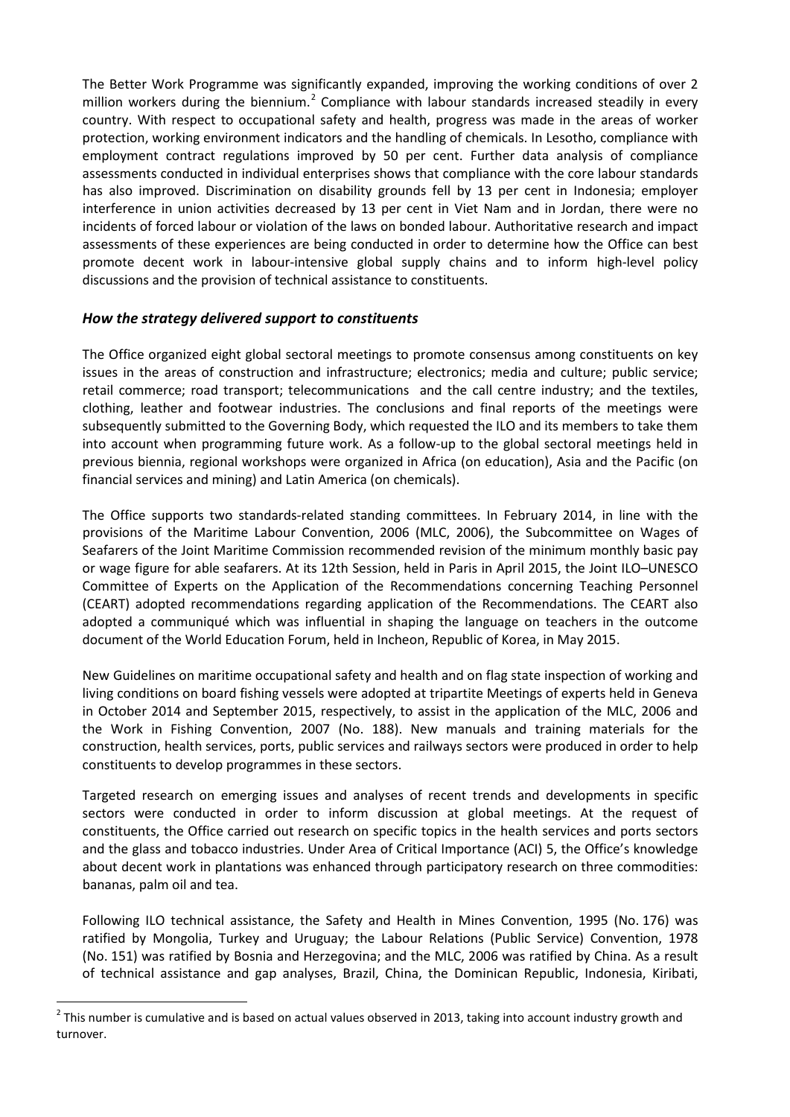The Better Work Programme was significantly expanded, improving the working conditions of over 2 million workers during the biennium.<sup>[2](#page-1-0)</sup> Compliance with labour standards increased steadily in every country. With respect to occupational safety and health, progress was made in the areas of worker protection, working environment indicators and the handling of chemicals. In Lesotho, compliance with employment contract regulations improved by 50 per cent. Further data analysis of compliance assessments conducted in individual enterprises shows that compliance with the core labour standards has also improved. Discrimination on disability grounds fell by 13 per cent in Indonesia; employer interference in union activities decreased by 13 per cent in Viet Nam and in Jordan, there were no incidents of forced labour or violation of the laws on bonded labour. Authoritative research and impact assessments of these experiences are being conducted in order to determine how the Office can best promote decent work in labour-intensive global supply chains and to inform high-level policy discussions and the provision of technical assistance to constituents.

### *How the strategy delivered support to constituents*

The Office organized eight global sectoral meetings to promote consensus among constituents on key issues in the areas of construction and infrastructure; electronics; media and culture; public service; retail commerce; road transport; telecommunications and the call centre industry; and the textiles, clothing, leather and footwear industries. The conclusions and final reports of the meetings were subsequently submitted to the Governing Body, which requested the ILO and its members to take them into account when programming future work. As a follow-up to the global sectoral meetings held in previous biennia, regional workshops were organized in Africa (on education), Asia and the Pacific (on financial services and mining) and Latin America (on chemicals).

The Office supports two standards-related standing committees. In February 2014, in line with the provisions of the Maritime Labour Convention, 2006 (MLC, 2006), the Subcommittee on Wages of Seafarers of the Joint Maritime Commission recommended revision of the minimum monthly basic pay or wage figure for able seafarers. At its 12th Session, held in Paris in April 2015, the Joint ILO–UNESCO Committee of Experts on the Application of the Recommendations concerning Teaching Personnel (CEART) adopted recommendations regarding application of the Recommendations. The CEART also adopted a communiqué which was influential in shaping the language on teachers in the outcome document of the World Education Forum, held in Incheon, Republic of Korea, in May 2015.

New Guidelines on maritime occupational safety and health and on flag state inspection of working and living conditions on board fishing vessels were adopted at tripartite Meetings of experts held in Geneva in October 2014 and September 2015, respectively, to assist in the application of the MLC, 2006 and the Work in Fishing Convention, 2007 (No. 188). New manuals and training materials for the construction, health services, ports, public services and railways sectors were produced in order to help constituents to develop programmes in these sectors.

Targeted research on emerging issues and analyses of recent trends and developments in specific sectors were conducted in order to inform discussion at global meetings. At the request of constituents, the Office carried out research on specific topics in the health services and ports sectors and the glass and tobacco industries. Under Area of Critical Importance (ACI) 5, the Office's knowledge about decent work in plantations was enhanced through participatory research on three commodities: bananas, palm oil and tea.

Following ILO technical assistance, the Safety and Health in Mines Convention, 1995 (No. 176) was ratified by Mongolia, Turkey and Uruguay; the Labour Relations (Public Service) Convention, 1978 (No. 151) was ratified by Bosnia and Herzegovina; and the MLC, 2006 was ratified by China. As a result of technical assistance and gap analyses, Brazil, China, the Dominican Republic, Indonesia, Kiribati,

 $\overline{a}$ 

<span id="page-1-0"></span> $<sup>2</sup>$  This number is cumulative and is based on actual values observed in 2013, taking into account industry growth and</sup> turnover.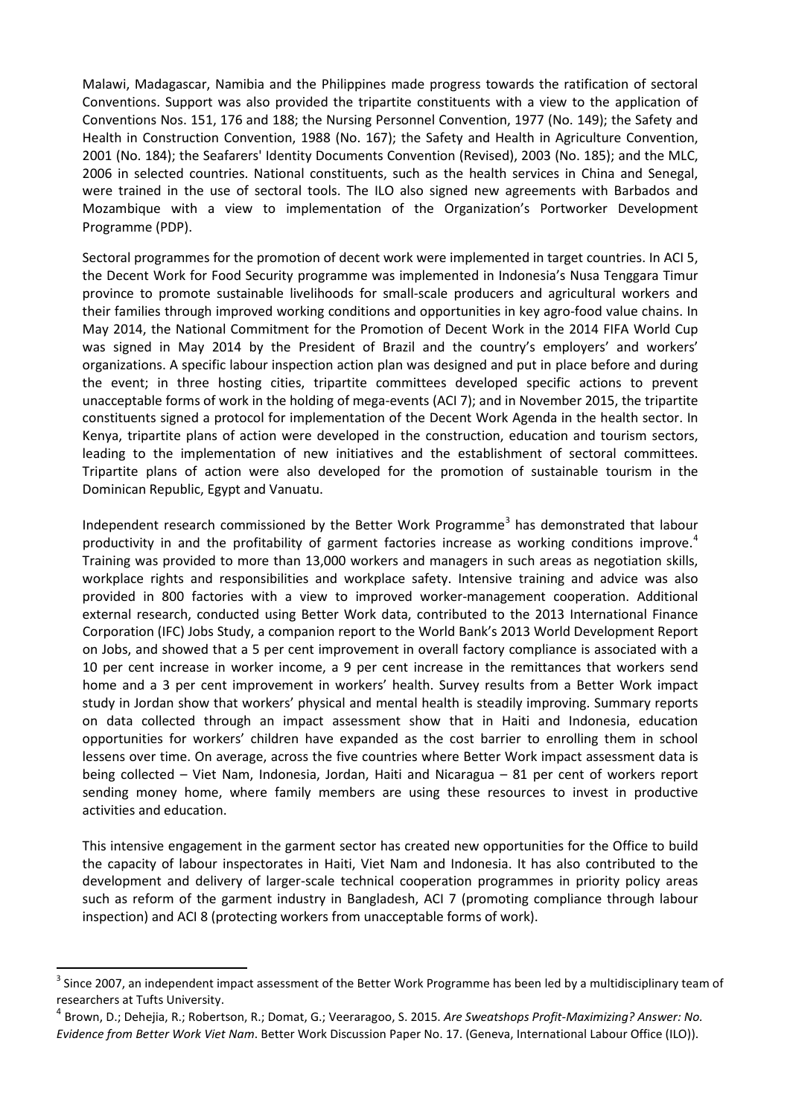Malawi, Madagascar, Namibia and the Philippines made progress towards the ratification of sectoral Conventions. Support was also provided the tripartite constituents with a view to the application of Conventions Nos. 151, 176 and 188; the Nursing Personnel Convention, 1977 (No. 149); the Safety and Health in Construction Convention, 1988 (No. 167); the Safety and Health in Agriculture Convention, 2001 (No. 184); the Seafarers' Identity Documents Convention (Revised), 2003 (No. 185); and the MLC, 2006 in selected countries. National constituents, such as the health services in China and Senegal, were trained in the use of sectoral tools. The ILO also signed new agreements with Barbados and Mozambique with a view to implementation of the Organization's Portworker Development Programme (PDP).

Sectoral programmes for the promotion of decent work were implemented in target countries. In ACI 5, the Decent Work for Food Security programme was implemented in Indonesia's Nusa Tenggara Timur province to promote sustainable livelihoods for small-scale producers and agricultural workers and their families through improved working conditions and opportunities in key agro-food value chains. In May 2014, the National Commitment for the Promotion of Decent Work in the 2014 FIFA World Cup was signed in May 2014 by the President of Brazil and the country's employers' and workers' organizations. A specific labour inspection action plan was designed and put in place before and during the event; in three hosting cities, tripartite committees developed specific actions to prevent unacceptable forms of work in the holding of mega-events (ACI 7); and in November 2015, the tripartite constituents signed a protocol for implementation of the Decent Work Agenda in the health sector. In Kenya, tripartite plans of action were developed in the construction, education and tourism sectors, leading to the implementation of new initiatives and the establishment of sectoral committees. Tripartite plans of action were also developed for the promotion of sustainable tourism in the Dominican Republic, Egypt and Vanuatu.

Independent research commissioned by the Better Work Programme<sup>[3](#page-2-0)</sup> has demonstrated that labour productivity in and the profitability of garment factories increase as working conditions improve.<sup>[4](#page-2-1)</sup> Training was provided to more than 13,000 workers and managers in such areas as negotiation skills, workplace rights and responsibilities and workplace safety. Intensive training and advice was also provided in 800 factories with a view to improved worker-management cooperation. Additional external research, conducted using Better Work data, contributed to the 2013 International Finance Corporation (IFC) Jobs Study, a companion report to the World Bank's 2013 World Development Report on Jobs, and showed that a 5 per cent improvement in overall factory compliance is associated with a 10 per cent increase in worker income, a 9 per cent increase in the remittances that workers send home and a 3 per cent improvement in workers' health. Survey results from a Better Work impact study in Jordan show that workers' physical and mental health is steadily improving. Summary reports on data collected through an impact assessment show that in Haiti and Indonesia, education opportunities for workers' children have expanded as the cost barrier to enrolling them in school lessens over time. On average, across the five countries where Better Work impact assessment data is being collected – Viet Nam, Indonesia, Jordan, Haiti and Nicaragua – 81 per cent of workers report sending money home, where family members are using these resources to invest in productive activities and education.

This intensive engagement in the garment sector has created new opportunities for the Office to build the capacity of labour inspectorates in Haiti, Viet Nam and Indonesia. It has also contributed to the development and delivery of larger-scale technical cooperation programmes in priority policy areas such as reform of the garment industry in Bangladesh, ACI 7 (promoting compliance through labour inspection) and ACI 8 (protecting workers from unacceptable forms of work).

 $\overline{a}$ 

<span id="page-2-0"></span> $3$  Since 2007, an independent impact assessment of the Better Work Programme has been led by a multidisciplinary team of researchers at Tufts University.

<span id="page-2-1"></span><sup>4</sup> Brown, D.; Dehejia, R.; Robertson, R.; Domat, G.; Veeraragoo, S. 2015. *Are Sweatshops Profit-Maximizing? Answer: No. Evidence from Better Work Viet Nam*. Better Work Discussion Paper No. 17. (Geneva, International Labour Office (ILO)).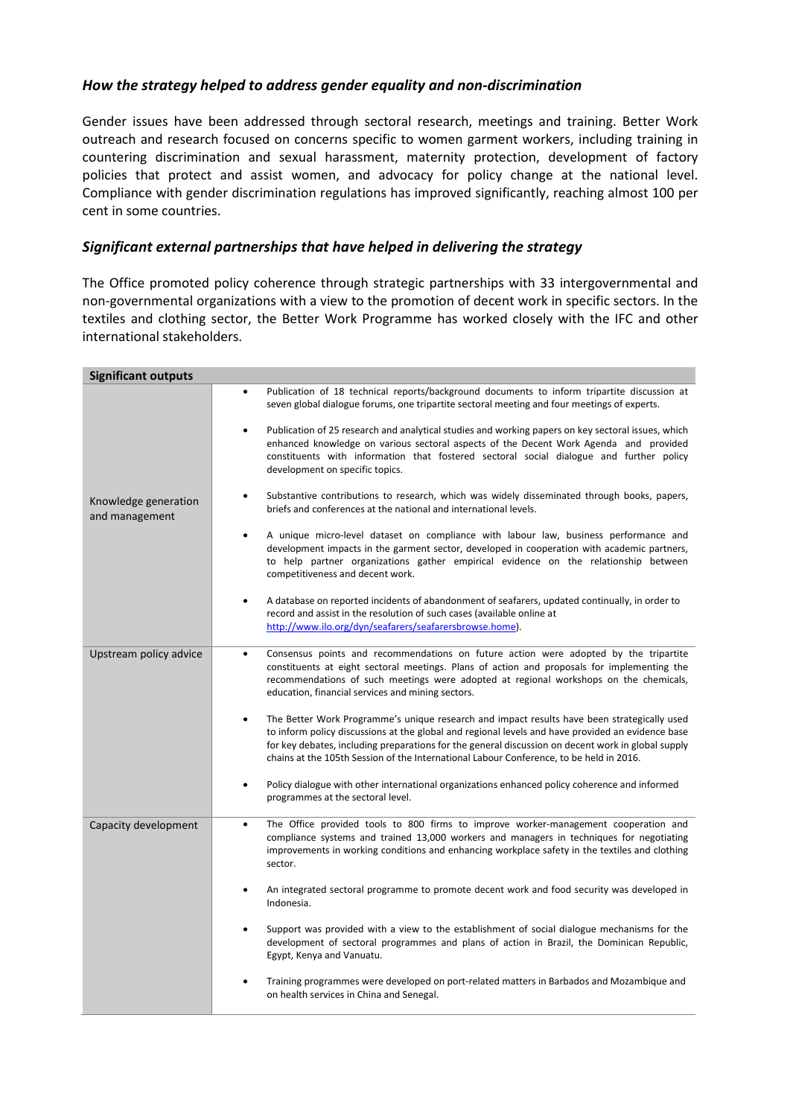### *How the strategy helped to address gender equality and non-discrimination*

Gender issues have been addressed through sectoral research, meetings and training. Better Work outreach and research focused on concerns specific to women garment workers, including training in countering discrimination and sexual harassment, maternity protection, development of factory policies that protect and assist women, and advocacy for policy change at the national level. Compliance with gender discrimination regulations has improved significantly, reaching almost 100 per cent in some countries.

#### *Significant external partnerships that have helped in delivering the strategy*

The Office promoted policy coherence through strategic partnerships with 33 intergovernmental and non-governmental organizations with a view to the promotion of decent work in specific sectors. In the textiles and clothing sector, the Better Work Programme has worked closely with the IFC and other international stakeholders.

| <b>Significant outputs</b>             |                                                                                                                                                                                                                                                                                                                                                                                                                                                                                                                                                                                                                                                                                                                                                                                                                                                                                                                                                                                                                                                                                                                                          |
|----------------------------------------|------------------------------------------------------------------------------------------------------------------------------------------------------------------------------------------------------------------------------------------------------------------------------------------------------------------------------------------------------------------------------------------------------------------------------------------------------------------------------------------------------------------------------------------------------------------------------------------------------------------------------------------------------------------------------------------------------------------------------------------------------------------------------------------------------------------------------------------------------------------------------------------------------------------------------------------------------------------------------------------------------------------------------------------------------------------------------------------------------------------------------------------|
| Knowledge generation<br>and management | Publication of 18 technical reports/background documents to inform tripartite discussion at<br>seven global dialogue forums, one tripartite sectoral meeting and four meetings of experts.<br>Publication of 25 research and analytical studies and working papers on key sectoral issues, which<br>enhanced knowledge on various sectoral aspects of the Decent Work Agenda and provided<br>constituents with information that fostered sectoral social dialogue and further policy<br>development on specific topics.<br>Substantive contributions to research, which was widely disseminated through books, papers,<br>briefs and conferences at the national and international levels.<br>A unique micro-level dataset on compliance with labour law, business performance and<br>$\bullet$<br>development impacts in the garment sector, developed in cooperation with academic partners,<br>to help partner organizations gather empirical evidence on the relationship between<br>competitiveness and decent work.<br>A database on reported incidents of abandonment of seafarers, updated continually, in order to<br>$\bullet$ |
|                                        | record and assist in the resolution of such cases (available online at<br>http://www.ilo.org/dyn/seafarers/seafarersbrowse.home).                                                                                                                                                                                                                                                                                                                                                                                                                                                                                                                                                                                                                                                                                                                                                                                                                                                                                                                                                                                                        |
| Upstream policy advice                 | Consensus points and recommendations on future action were adopted by the tripartite<br>$\bullet$<br>constituents at eight sectoral meetings. Plans of action and proposals for implementing the<br>recommendations of such meetings were adopted at regional workshops on the chemicals,<br>education, financial services and mining sectors.<br>The Better Work Programme's unique research and impact results have been strategically used<br>$\bullet$                                                                                                                                                                                                                                                                                                                                                                                                                                                                                                                                                                                                                                                                               |
|                                        | to inform policy discussions at the global and regional levels and have provided an evidence base<br>for key debates, including preparations for the general discussion on decent work in global supply<br>chains at the 105th Session of the International Labour Conference, to be held in 2016.                                                                                                                                                                                                                                                                                                                                                                                                                                                                                                                                                                                                                                                                                                                                                                                                                                       |
|                                        | Policy dialogue with other international organizations enhanced policy coherence and informed<br>programmes at the sectoral level.                                                                                                                                                                                                                                                                                                                                                                                                                                                                                                                                                                                                                                                                                                                                                                                                                                                                                                                                                                                                       |
| Capacity development                   | The Office provided tools to 800 firms to improve worker-management cooperation and<br>$\bullet$<br>compliance systems and trained 13,000 workers and managers in techniques for negotiating<br>improvements in working conditions and enhancing workplace safety in the textiles and clothing<br>sector.                                                                                                                                                                                                                                                                                                                                                                                                                                                                                                                                                                                                                                                                                                                                                                                                                                |
|                                        | An integrated sectoral programme to promote decent work and food security was developed in<br>Indonesia.                                                                                                                                                                                                                                                                                                                                                                                                                                                                                                                                                                                                                                                                                                                                                                                                                                                                                                                                                                                                                                 |
|                                        | Support was provided with a view to the establishment of social dialogue mechanisms for the<br>development of sectoral programmes and plans of action in Brazil, the Dominican Republic,<br>Egypt, Kenya and Vanuatu.                                                                                                                                                                                                                                                                                                                                                                                                                                                                                                                                                                                                                                                                                                                                                                                                                                                                                                                    |
|                                        | Training programmes were developed on port-related matters in Barbados and Mozambique and<br>on health services in China and Senegal.                                                                                                                                                                                                                                                                                                                                                                                                                                                                                                                                                                                                                                                                                                                                                                                                                                                                                                                                                                                                    |